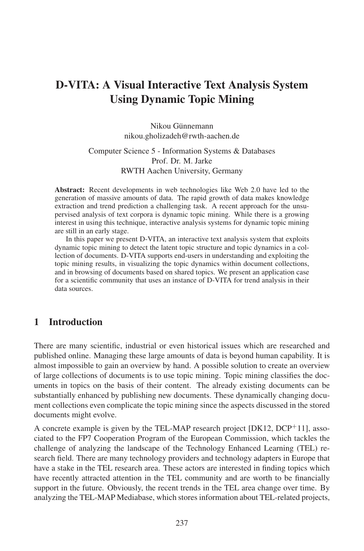# D-VITA: A Visual Interactive Text Analysis System Using Dynamic Topic Mining

Nikou Günnemann nikou.gholizadeh@rwth-aachen.de

#### Computer Science 5-Information Systems & Databases Prof. Dr. M. Jarke RWTH Aachen University, Germany

Abstract: Recent developments in web technologies like Web 2.0 have led to the generation of massive amounts of data. The rapid growth of data makes knowledge extraction and trend prediction a challenging task. A recent approach for the unsupervised analysis of text corpora is dynamic topic mining. While there is a growing interest in using this technique, interactive analysis systems for dynamic topic mining are still in an early stage.

In this paper we present D-VITA, an interactive text analysis system that exploits dynamic topic mining to detect the latent topic structure and topic dynamics in a collection of documents. D-VITA supports end-users in understanding and exploiting the topic mining results, in visualizing the topic dynamics within document collections, and in browsing of documents based on shared topics. We present an application case for a scientific community that uses an instance of D-VITA for trend analysis in their data sources.

## 1 Introduction

There are many scientific, industrial or even historical issues which are researched and published online. Managing these large amounts of data is beyond human capability. It is almost impossible to gain an overview by hand. A possible solution to create an overview of large collections of documents is to use topic mining. Topic mining classifies the documents in topics on the basis of their content. The already existing documents can be substantially enhanced by publishing new documents. These dynamically changing document collections even complicate the topic mining since the aspects discussed in the stored documents might evolve.

A concrete example is given by the TEL-MAP research project  $[DK12, DCP<sup>+</sup>11]$ , associated to the FP7 Cooperation Program of the European Commission, which tackles the challenge of analyzing the landscape of the Technology Enhanced Learning (TEL) research field. There are many technology providers and technology adapters in Europe that have a stake in the TEL research area. These actors are interested in finding topics which have recently attracted attention in the TEL community and are worth to be financially support in the future. Obviously, the recent trends in the TEL area change over time. By analyzing the TEL-MAP Mediabase, which stores information about TEL-related projects,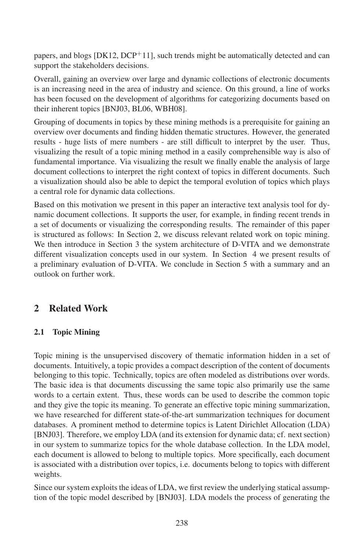papers, and blogs  $[DK12, DCP+11]$ , such trends might be automatically detected and can support the stakeholders decisions.

Overall, gaining an overview over large and dynamic collections of electronic documents is an increasing need in the area of industry and science. On this ground, a line of works has been focused on the development of algorithms for categorizing documents based on their inherent topics [BNJ03, BL06, WBH08].

Grouping of documents in topics by these mining methods is a prerequisite for gaining an overview over documents and finding hidden thematic structures. However, the generated results - huge lists of mere numbers - are still difficult to interpret by the user. Thus, visualizing the result of a topic mining method in a easily comprehensible way is also of fundamental importance. Via visualizing the result we finally enable the analysis of large document collections to interpret the right context of topics in different documents. Such a visualization should also be able to depict the temporal evolution of topics which plays a central role for dynamic data collections.

Based on this motivation we present in this paper an interactive text analysis tool for dynamic document collections. It supports the user, for example, in finding recent trends in a set of documents or visualizing the corresponding results. The remainder of this paper is structured as follows: In Section 2, we discuss relevant related work on topic mining. We then introduce in Section 3 the system architecture of D-VITA and we demonstrate different visualization concepts used in our system. In Section 4 we present results of a preliminary evaluation of D-VITA. We conclude in Section 5 with a summary and an outlook on further work.

## 2 Related Work

## 2.1 Topic Mining

Topic mining is the unsupervised discovery of thematic information hidden in a set of documents. Intuitively, a topic provides a compact description of the content of documents belonging to this topic. Technically, topics are often modeled as distributions over words. The basic idea is that documents discussing the same topic also primarily use the same words to a certain extent. Thus, these words can be used to describe the common topic and they give the topic its meaning. To generate an effective topic mining summarization, we have researched for different state-of-the-art summarization techniques for document databases. A prominent method to determine topics is Latent Dirichlet Allocation (LDA) [BNJ03]. Therefore, we employ LDA (and its extension for dynamic data; cf. next section) in our system to summarize topics for the whole database collection. In the LDA model, each document is allowed to belong to multiple topics. More specifically, each document is associated with a distribution over topics, i.e. documents belong to topics with different weights.

Since our system exploits the ideas of LDA, we first review the underlying statical assumption of the topic model described by [BNJ03]. LDA models the process of generating the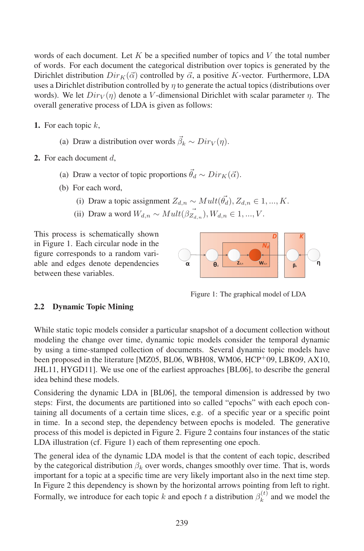words of each document. Let K be a specified number of topics and V the total number of words. For each document the categorical distribution over topics is generated by the Dirichlet distribution  $Dir_{K}(\vec{\alpha})$  controlled by  $\vec{\alpha}$ , a positive K-vector. Furthermore, LDA uses a Dirichlet distribution controlled by  $\eta$  to generate the actual topics (distributions over words). We let  $Dir_V(\eta)$  denote a V-dimensional Dirichlet with scalar parameter  $\eta$ . The overall generative process of LDA is given as follows:

- 1. For each topic  $k$ ,
	- (a) Draw a distribution over words  $\vec{\beta}_k \sim Dir_V(\eta)$ .
- 2. For each document  $d$ .
	- (a) Draw a vector of topic proportions  $\vec{\theta}_d \sim Dir_K(\vec{\alpha})$ .
	- (b) For each word,
		- (i) Draw a topic assignment  $Z_{d,n} \sim Mult(\vec{\theta_d}), Z_{d,n} \in 1, ..., K$ .
		- (ii) Draw a word  $W_{d,n} \sim Mult(\beta \vec{Z}_{d,n}), W_{d,n} \in 1, ..., V$ .

This process is schematically shown in Figure 1. Each circular node in the figure corresponds to a random variable and edges denote dependencies between these variables.



Figure 1: The graphical model of LDA

#### 2.2 Dynamic Topic Mining

While static topic models consider a particular snapshot of a document collection without modeling the change over time, dynamic topic models consider the temporal dynamic by using a time-stamped collection of documents. Several dynamic topic models have been proposed in the literature [MZ05, BL06, WBH08, WM06, HCP<sup>+</sup>09, LBK09, AX10, JHL11, HYGD11]. We use one of the earliest approaches [BL06], to describe the general idea behind these models.

Considering the dynamic LDA in [BL06], the temporal dimension is addressed by two steps: First, the documents are partitioned into so called "epochs" with each epoch containing all documents of a certain time slices, e.g. of a specific year or a specific point in time. In a second step, the dependency between epochs is modeled. The generative process of this model is depicted in Figure 2. Figure 2 contains four instances of the static LDA illustration (cf. Figure 1) each of them representing one epoch.

The general idea of the dynamic LDA model is that the content of each topic, described by the categorical distribution  $\beta_k$  over words, changes smoothly over time. That is, words important for a topic at a specific time are very likely important also in the next time step. In Figure 2 this dependency is shown by the horizontal arrows pointing from left to right. Formally, we introduce for each topic k and epoch t a distribution  $\beta_k^{(t)}$  and we model the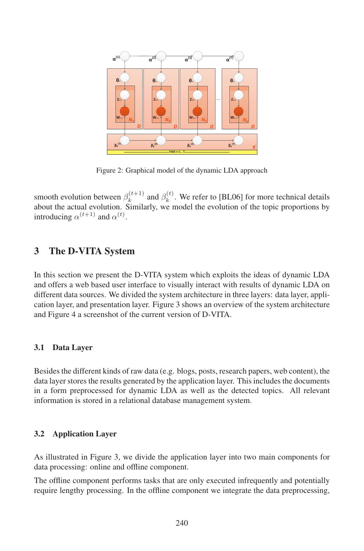

Figure 2: Graphical model of the dynamic LDA approach

smooth evolution between  $\beta_k^{(t+1)}$  and  $\beta_k^{(t)}$ . We refer to [BL06] for more technical details about the actual evolution. Similarly, we model the evolution of the topic proportions by introducing  $\alpha^{(t+1)}$  and  $\alpha^{(t)}$ .

## 3 The D-VITA System

In this section we present the D-VITA system which exploits the ideas of dynamic LDA and offers a web based user interface to visually interact with results of dynamic LDA on different data sources. We divided the system architecture in three layers: data layer, application layer, and presentation layer. Figure 3 shows an overview of the system architecture and Figure 4 a screenshot of the current version of D-VITA.

#### 3.1 Data Layer

Besides the different kinds of raw data (e.g. blogs, posts, research papers, web content), the data layer stores the results generated by the application layer. This includes the documents in a form preprocessed for dynamic LDA as well as the detected topics. All relevant information is stored in a relational database management system.

#### 3.2 Application Layer

As illustrated in Figure 3, we divide the application layer into two main components for data processing: online and offline component.

The offline component performs tasks that are only executed infrequently and potentially require lengthy processing. In the offline component we integrate the data preprocessing,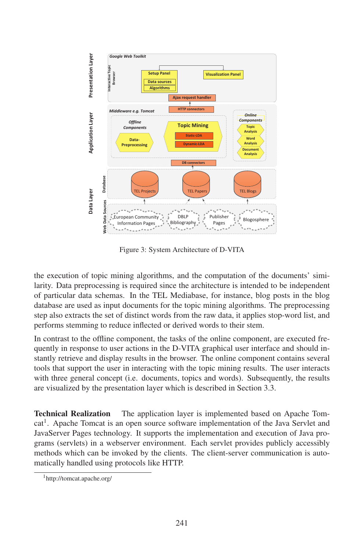

Figure 3: System Architecture of D-VITA

the execution of topic mining algorithms, and the computation of the documents' similarity. Data preprocessing is required since the architecture is intended to be independent of particular data schemas. In the TEL Mediabase, for instance, blog posts in the blog database are used as input documents for the topic mining algorithms. The preprocessing step also extracts the set of distinct words from the raw data, it applies stop-word list, and performs stemming to reduce inflected or derived words to their stem.

In contrast to the offline component, the tasks of the online component, are executed frequently in response to user actions in the D-VITA graphical user interface and should instantly retrieve and display results in the browser. The online component contains several tools that support the user in interacting with the topic mining results. The user interacts with three general concept (i.e. documents, topics and words). Subsequently, the results are visualized by the presentation layer which is described in Section 3.3.

Technical Realization The application layer is implemented based on Apache Tomcat<sup>1</sup>. Apache Tomcat is an open source software implementation of the Java Servlet and JavaServer Pages technology. It supports the implementation and execution of Java programs (servlets) in a webserver environment. Each servlet provides publicly accessibly methods which can be invoked by the clients. The client-server communication is automatically handled using protocols like HTTP.

<sup>1</sup>http://tomcat.apache.org/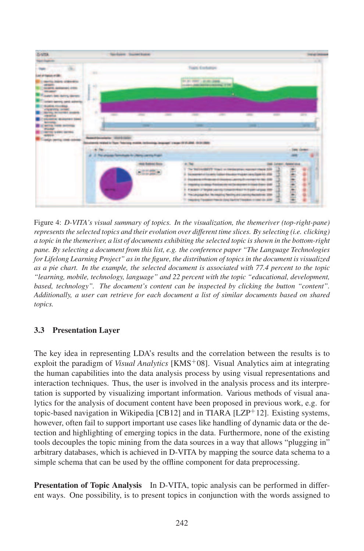

Figure 4: *D-VITA's visual summary of topics. In the visualization, the themeriver (top-right-pane) represents the selected topics and their evolution over different time slices. By selecting (i.e. clicking) a topic in the themeriver, a list of documents exhibiting the selected topic is shown in the bottom-right pane. By selecting a document from this list, e.g. the conference paper "The Language Technologies for Lifelong Learning Project" as in the figure, the distribution of topics in the document is visualized as a pie chart. In the example, the selected document is associated with 77.4 percent to the topic "learning, mobile, technology, language" and 22 percent with the topic "educational, development,* based, technology". The document's content can be inspected by clicking the button "content". *Additionally, a user can retrieve for each document a list of similar documents based on shared topics.*

#### 3.3 Presentation Layer

The key idea in representing LDA's results and the correlation between the results is to exploit the paradigm of *Visual Analytics* [KMS<sup>+</sup>08]. Visual Analytics aim at integrating the human capabilities into the data analysis process by using visual representations and interaction techniques. Thus, the user is involved in the analysis process and its interpretation is supported by visualizing important information. Various methods of visual analytics for the analysis of document content have been proposed in previous work, e.g. for topic-based navigation in Wikipedia  $[CB12]$  and in TIARA  $[LLP^+12]$ . Existing systems, however, often fail to support important use cases like handling of dynamic data or the detection and highlighting of emerging topics in the data. Furthermore, none of the existing tools decouples the topic mining from the data sources in a way that allows "plugging in" arbitrary databases, which is achieved in D-VITA by mapping the source data schema to a simple schema that can be used by the offline component for data preprocessing.

**Presentation of Topic Analysis** In D-VITA, topic analysis can be performed in different ways. One possibility, is to present topics in conjunction with the words assigned to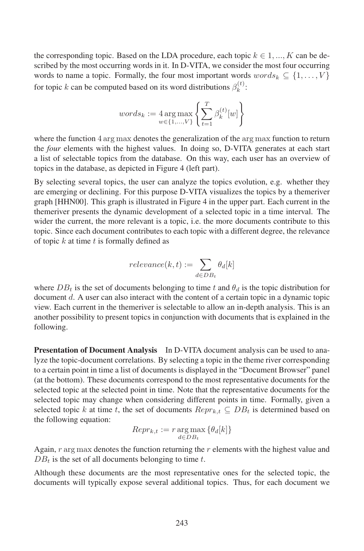the corresponding topic. Based on the LDA procedure, each topic  $k \in 1, ..., K$  can be described by the most occurring words in it. In D-VITA, we consider the most four occurring words to name a topic. Formally, the four most important words  $words_k \subseteq \{1, \ldots, V\}$ for topic k can be computed based on its word distributions  $\beta_k^{(t)}$ :

$$
words_k := 4 \operatorname*{arg\,max}_{w \in \{1, \ldots, V\}} \left\{ \sum_{t=1}^T \beta_k^{(t)}[w] \right\}
$$

where the function 4 arg max denotes the generalization of the arg max function to return the *four* elements with the highest values. In doing so, D-VITA generates at each start a list of selectable topics from the database. On this way, each user has an overview of topics in the database, as depicted in Figure 4 (left part).

By selecting several topics, the user can analyze the topics evolution, e.g. whether they are emerging or declining. For this purpose D-VITA visualizes the topics by a themeriver graph [HHN00]. This graph is illustrated in Figure 4 in the upper part. Each current in the themeriver presents the dynamic development of a selected topic in a time interval. The wider the current, the more relevant is a topic, i.e. the more documents contribute to this topic. Since each document contributes to each topic with a different degree, the relevance of topic  $k$  at time  $t$  is formally defined as

$$
relevance(k, t) := \sum_{d \in DB_t} \theta_d[k]
$$

where  $DB_t$  is the set of documents belonging to time t and  $\theta_d$  is the topic distribution for document d. A user can also interact with the content of a certain topic in a dynamic topic view. Each current in the themeriver is selectable to allow an in-depth analysis. This is an another possibility to present topics in conjunction with documents that is explained in the following.

**Presentation of Document Analysis** In D-VITA document analysis can be used to analyze the topic-document correlations. By selecting a topic in the theme river corresponding to a certain point in time a list of documents is displayed in the "Document Browser" panel (at the bottom). These documents correspond to the most representative documents for the selected topic at the selected point in time. Note that the representative documents for the selected topic may change when considering different points in time. Formally, given a selected topic k at time t, the set of documents  $Repr_{k,t} \subseteq DB_t$  is determined based on the following equation:

$$
Repr_{k,t} := r \operatorname*{arg\,max}_{d \in DB_t} \{\theta_d[k]\}
$$

Again,  $r \arg \max$  denotes the function returning the  $r$  elements with the highest value and  $DB_t$  is the set of all documents belonging to time t.

Although these documents are the most representative ones for the selected topic, the documents will typically expose several additional topics. Thus, for each document we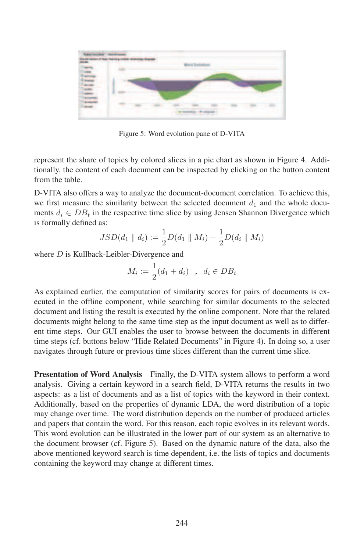

Figure 5: Word evolution pane of D-VITA

represent the share of topics by colored slices in a pie chart as shown in Figure 4. Additionally, the content of each document can be inspected by clicking on the button content from the table.

D-VITA also offers a way to analyze the document-document correlation. To achieve this, we first measure the similarity between the selected document  $d_1$  and the whole documents  $d_i \in DB_t$  in the respective time slice by using Jensen Shannon Divergence which is formally defined as:

$$
JSD(d_1 \parallel d_i) := \frac{1}{2}D(d_1 \parallel M_i) + \frac{1}{2}D(d_i \parallel M_i)
$$

where *D* is Kullback-Leibler-Divergence and

$$
M_i := \frac{1}{2}(d_1 + d_i) \quad , \quad d_i \in DB_t
$$

As explained earlier, the computation of similarity scores for pairs of documents is executed in the offline component, while searching for similar documents to the selected document and listing the result is executed by the online component. Note that the related documents might belong to the same time step as the input document as well as to different time steps. Our GUI enables the user to browse between the documents in different time steps (cf. buttons below "Hide Related Documents" in Figure 4). In doing so, a user navigates through future or previous time slices different than the current time slice.

**Presentation of Word Analysis** Finally, the D-VITA system allows to perform a word analysis. Giving a certain keyword in a search field, D-VITA returns the results in two aspects: as a list of documents and as a list of topics with the keyword in their context. Additionally, based on the properties of dynamic LDA, the word distribution of a topic may change over time. The word distribution depends on the number of produced articles and papers that contain the word. For this reason, each topic evolves in its relevant words. This word evolution can be illustrated in the lower part of our system as an alternative to the document browser (cf. Figure 5). Based on the dynamic nature of the data, also the above mentioned keyword search is time dependent, i.e. the lists of topics and documents containing the keyword may change at different times.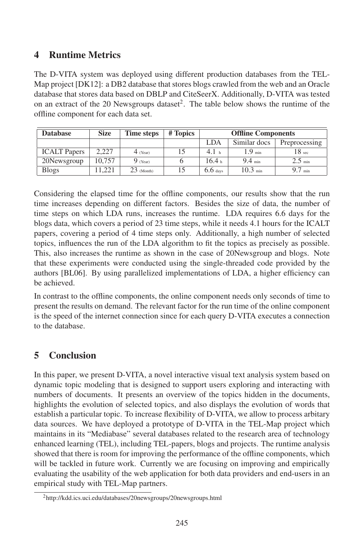## 4 Runtime Metrics

The D-VITA system was deployed using different production databases from the TEL-Map project [DK12]: a DB2 database that stores blogs crawled from the web and an Oracle database that stores data based on DBLP and CiteSeerX. Additionally, D-VITA was tested on an extract of the 20 Newsgroups dataset<sup>2</sup>. The table below shows the runtime of the offline component for each data set.

| <b>Database</b>     | <b>Size</b> | Time steps   | # Topics | <b>Offline Components</b> |                      |                 |
|---------------------|-------------|--------------|----------|---------------------------|----------------------|-----------------|
|                     |             |              |          | LDA                       | Similar docs         | Preprocessing   |
| <b>ICALT</b> Papers | 2.227       | $4$ (Year)   |          | 4.1 <sub>h</sub>          | $1.9$ min            | $18\;{\rm sec}$ |
| 20Newsgroup         | 10.757      | $9$ (Year)   |          | 16.4 <sub>b</sub>         | $9.4_{\text{min}}$   | $2.5$ min       |
| <b>Blogs</b>        | 1.221       | $23$ (Month) |          | 6.6 <sub>days</sub>       | $10.3 \, \text{min}$ | min             |

Considering the elapsed time for the offline components, our results show that the run time increases depending on different factors. Besides the size of data, the number of time steps on which LDA runs, increases the runtime. LDA requires 6.6 days for the blogs data, which covers a period of 23 time steps, while it needs 4.1 hours for the ICALT papers, covering a period of 4 time steps only. Additionally, a high number of selected topics, influences the run of the LDA algorithm to fit the topics as precisely as possible. This, also increases the runtime as shown in the case of 20Newsgroup and blogs. Note that these experiments were conducted using the single-threaded code provided by the authors [BL06]. By using parallelized implementations of LDA, a higher efficiency can be achieved.

In contrast to the offline components, the online component needs only seconds of time to present the results on demand. The relevant factor for the run time of the online component is the speed of the internet connection since for each query D-VITA executes a connection to the database.

# 5 Conclusion

In this paper, we present D-VITA, a novel interactive visual text analysis system based on dynamic topic modeling that is designed to support users exploring and interacting with numbers of documents. It presents an overview of the topics hidden in the documents, highlights the evolution of selected topics, and also displays the evolution of words that establish a particular topic. To increase flexibility of D-VITA, we allow to process arbitary data sources. We have deployed a prototype of D-VITA in the TEL-Map project which maintains in its "Mediabase" several databases related to the research area of technology enhanced learning (TEL), including TEL-papers, blogs and projects. The runtime analysis showed that there is room for improving the performance of the offline components, which will be tackled in future work. Currently we are focusing on improving and empirically evaluating the usability of the web application for both data providers and end-users in an empirical study with TEL-Map partners.

<sup>2</sup>http://kdd.ics.uci.edu/databases/20newsgroups/20newsgroups.html